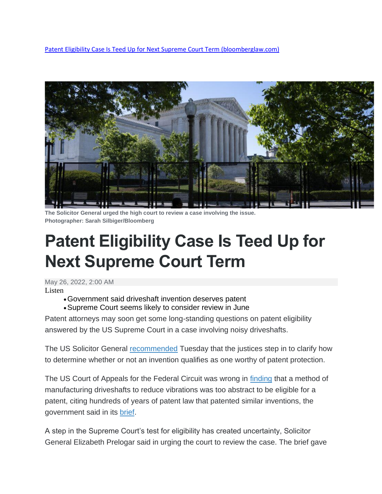[Patent Eligibility Case Is Teed Up for Next Supreme Court Term \(bloomberglaw.com\)](https://news.bloomberglaw.com/ip-law/patent-eligibility-case-is-teed-up-for-next-supreme-court-term)



**The Solicitor General urged the high court to review a case involving the issue. Photographer: Sarah Silbiger/Bloomberg**

## **Patent Eligibility Case Is Teed Up for Next Supreme Court Term**

May 26, 2022, 2:00 AM

Listen

- •Government said driveshaft invention deserves patent
- •Supreme Court seems likely to consider review in June

Patent attorneys may soon get some long-standing questions on patent eligibility answered by the US Supreme Court in a case involving noisy driveshafts.

The US Solicitor General **[recommended](https://news.bloomberglaw.com/ip-law/patent-eligibility-case-needs-supreme-court-review-doj-says)** Tuesday that the justices step in to clarify how to determine whether or not an invention qualifies as one worthy of patent protection.

The US Court of Appeals for the Federal Circuit was wrong in [finding](https://news.bloomberglaw.com/ip-law/car-noise-reducing-patent-claims-invalid-fed-cir-says) that a method of manufacturing driveshafts to reduce vibrations was too abstract to be eligible for a patent, citing hundreds of years of patent law that patented similar inventions, the government said in its [brief.](https://www.bloomberglaw.com/public/document/AmericanAxleManufacturingIncPetitionervsNeapcoHoldingsLLCetalDock/3?doc_id=X2J60ICIGMV87UPS0B1LH5H9VAC)

A step in the Supreme Court's test for eligibility has created uncertainty, Solicitor General Elizabeth Prelogar said in urging the court to review the case. The brief gave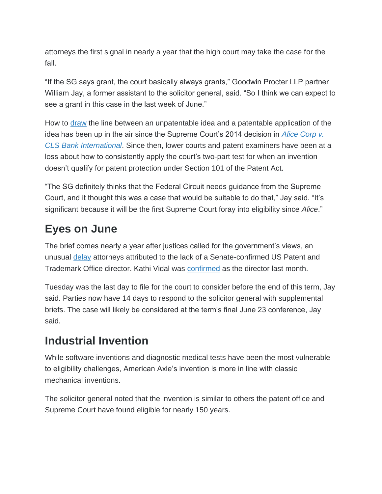attorneys the first signal in nearly a year that the high court may take the case for the fall.

"If the SG says grant, the court basically always grants," Goodwin Procter LLP partner William Jay, a former assistant to the solicitor general, said. "So I think we can expect to see a grant in this case in the last week of June."

How to [draw](https://news.bloomberglaw.com/ip-law/whats-eligible-for-a-patent-the-section-101-muddle-explained) the line between an unpatentable idea and a patentable application of the idea has been up in the air since the Supreme Court's 2014 decision in *[Alice Corp v.](https://www.bloomberglaw.com/document/XIFFE8DG000N?)  [CLS Bank International](https://www.bloomberglaw.com/document/XIFFE8DG000N?)*. Since then, lower courts and patent examiners have been at a loss about how to consistently apply the court's two-part test for when an invention doesn't qualify for patent protection under Section 101 of the Patent Act.

"The SG definitely thinks that the Federal Circuit needs guidance from the Supreme Court, and it thought this was a case that would be suitable to do that," Jay said. "It's significant because it will be the first Supreme Court foray into eligibility since *Alice*."

## **Eyes on June**

The brief comes nearly a year after justices called for the government's views, an unusual [delay](https://news.bloomberglaw.com/ip-law/governments-delay-pushes-patent-eligibility-out-of-scotus-term) attorneys attributed to the lack of a Senate-confirmed US Patent and Trademark Office director. Kathi Vidal was [confirmed](https://news.bloomberglaw.com/ip-law/senate-approves-biden-pick-vidal-for-patent-and-trademark-office) as the director last month.

Tuesday was the last day to file for the court to consider before the end of this term, Jay said. Parties now have 14 days to respond to the solicitor general with supplemental briefs. The case will likely be considered at the term's final June 23 conference, Jay said.

## **Industrial Invention**

While software inventions and diagnostic medical tests have been the most vulnerable to eligibility challenges, American Axle's invention is more in line with classic mechanical inventions.

The solicitor general noted that the invention is similar to others the patent office and Supreme Court have found eligible for nearly 150 years.